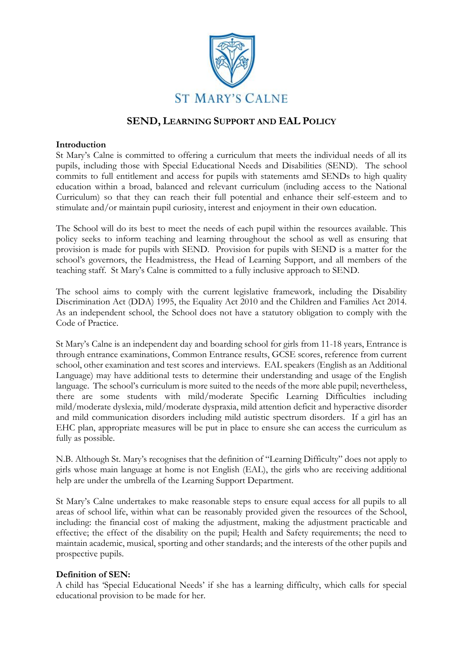

# **SEND, LEARNING SUPPORT AND EAL POLICY**

### **Introduction**

St Mary's Calne is committed to offering a curriculum that meets the individual needs of all its pupils, including those with Special Educational Needs and Disabilities (SEND). The school commits to full entitlement and access for pupils with statements amd SENDs to high quality education within a broad, balanced and relevant curriculum (including access to the National Curriculum) so that they can reach their full potential and enhance their self-esteem and to stimulate and/or maintain pupil curiosity, interest and enjoyment in their own education.

The School will do its best to meet the needs of each pupil within the resources available. This policy seeks to inform teaching and learning throughout the school as well as ensuring that provision is made for pupils with SEND. Provision for pupils with SEND is a matter for the school's governors, the Headmistress, the Head of Learning Support, and all members of the teaching staff. St Mary's Calne is committed to a fully inclusive approach to SEND.

The school aims to comply with the current legislative framework, including the Disability Discrimination Act (DDA) 1995, the Equality Act 2010 and the Children and Families Act 2014. As an independent school, the School does not have a statutory obligation to comply with the Code of Practice.

St Mary's Calne is an independent day and boarding school for girls from 11-18 years, Entrance is through entrance examinations, Common Entrance results, GCSE scores, reference from current school, other examination and test scores and interviews. EAL speakers (English as an Additional Language) may have additional tests to determine their understanding and usage of the English language. The school's curriculum is more suited to the needs of the more able pupil; nevertheless, there are some students with mild/moderate Specific Learning Difficulties including mild/moderate dyslexia, mild/moderate dyspraxia, mild attention deficit and hyperactive disorder and mild communication disorders including mild autistic spectrum disorders. If a girl has an EHC plan, appropriate measures will be put in place to ensure she can access the curriculum as fully as possible.

N.B. Although St. Mary's recognises that the definition of "Learning Difficulty" does not apply to girls whose main language at home is not English (EAL), the girls who are receiving additional help are under the umbrella of the Learning Support Department.

St Mary's Calne undertakes to make reasonable steps to ensure equal access for all pupils to all areas of school life, within what can be reasonably provided given the resources of the School, including: the financial cost of making the adjustment, making the adjustment practicable and effective; the effect of the disability on the pupil; Health and Safety requirements; the need to maintain academic, musical, sporting and other standards; and the interests of the other pupils and prospective pupils.

### **Definition of SEN:**

A child has 'Special Educational Needs' if she has a learning difficulty, which calls for special educational provision to be made for her.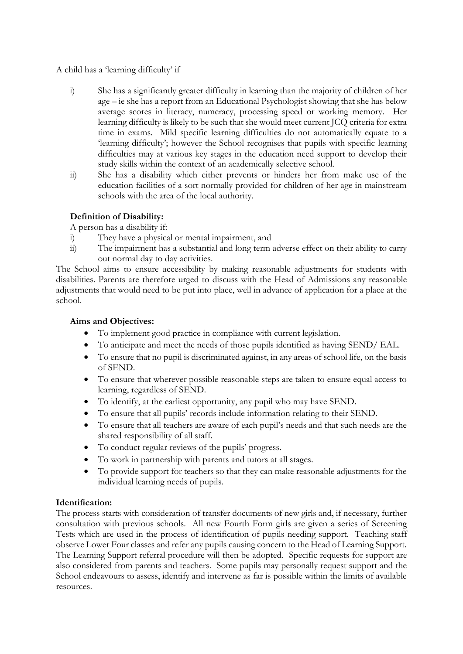### A child has a 'learning difficulty' if

- i) She has a significantly greater difficulty in learning than the majority of children of her age – ie she has a report from an Educational Psychologist showing that she has below average scores in literacy, numeracy, processing speed or working memory. Her learning difficulty is likely to be such that she would meet current JCQ criteria for extra time in exams. Mild specific learning difficulties do not automatically equate to a 'learning difficulty'; however the School recognises that pupils with specific learning difficulties may at various key stages in the education need support to develop their study skills within the context of an academically selective school.
- ii) She has a disability which either prevents or hinders her from make use of the education facilities of a sort normally provided for children of her age in mainstream schools with the area of the local authority.

## **Definition of Disability:**

A person has a disability if:

- i) They have a physical or mental impairment, and
- ii) The impairment has a substantial and long term adverse effect on their ability to carry out normal day to day activities.

The School aims to ensure accessibility by making reasonable adjustments for students with disabilities. Parents are therefore urged to discuss with the Head of Admissions any reasonable adjustments that would need to be put into place, well in advance of application for a place at the school.

### **Aims and Objectives:**

- To implement good practice in compliance with current legislation.
- To anticipate and meet the needs of those pupils identified as having SEND/ EAL.
- To ensure that no pupil is discriminated against, in any areas of school life, on the basis of SEND.
- To ensure that wherever possible reasonable steps are taken to ensure equal access to learning, regardless of SEND.
- To identify, at the earliest opportunity, any pupil who may have SEND.
- To ensure that all pupils' records include information relating to their SEND.
- To ensure that all teachers are aware of each pupil's needs and that such needs are the shared responsibility of all staff.
- To conduct regular reviews of the pupils' progress.
- To work in partnership with parents and tutors at all stages.
- To provide support for teachers so that they can make reasonable adjustments for the individual learning needs of pupils.

## **Identification:**

The process starts with consideration of transfer documents of new girls and, if necessary, further consultation with previous schools. All new Fourth Form girls are given a series of Screening Tests which are used in the process of identification of pupils needing support. Teaching staff observe Lower Four classes and refer any pupils causing concern to the Head of Learning Support. The Learning Support referral procedure will then be adopted. Specific requests for support are also considered from parents and teachers. Some pupils may personally request support and the School endeavours to assess, identify and intervene as far is possible within the limits of available resources.